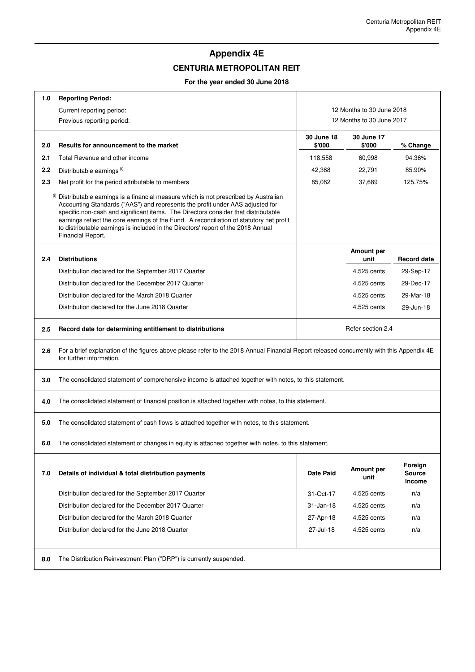$\overline{\phantom{a}}$ 

## **Appendix 4E**

## **CENTURIA METROPOLITAN REIT**

## **For the year ended 30 June 2018**

 $\mathsf{r}$ 

| 1.0 | <b>Reporting Period:</b>                                                                                                                                                                                                                                                                                                                                                                                                                                             |                           |                    |                                    |  |  |
|-----|----------------------------------------------------------------------------------------------------------------------------------------------------------------------------------------------------------------------------------------------------------------------------------------------------------------------------------------------------------------------------------------------------------------------------------------------------------------------|---------------------------|--------------------|------------------------------------|--|--|
|     | Current reporting period:                                                                                                                                                                                                                                                                                                                                                                                                                                            | 12 Months to 30 June 2018 |                    |                                    |  |  |
|     | Previous reporting period:                                                                                                                                                                                                                                                                                                                                                                                                                                           | 12 Months to 30 June 2017 |                    |                                    |  |  |
|     |                                                                                                                                                                                                                                                                                                                                                                                                                                                                      | 30 June 18                | 30 June 17         |                                    |  |  |
| 2.0 | Results for announcement to the market                                                                                                                                                                                                                                                                                                                                                                                                                               | \$'000                    | \$'000             | % Change                           |  |  |
| 2.1 | Total Revenue and other income                                                                                                                                                                                                                                                                                                                                                                                                                                       | 118,558                   | 60,998             | 94.36%                             |  |  |
| 2.2 | Distributable earnings <sup>(i)</sup>                                                                                                                                                                                                                                                                                                                                                                                                                                | 42,368                    | 22,791             | 85.90%                             |  |  |
| 2.3 | Net profit for the period attributable to members                                                                                                                                                                                                                                                                                                                                                                                                                    | 85,082                    | 37,689             | 125.75%                            |  |  |
|     | (i) Distributable earnings is a financial measure which is not prescribed by Australian<br>Accounting Standards ("AAS") and represents the profit under AAS adjusted for<br>specific non-cash and significant items. The Directors consider that distributable<br>earnings reflect the core earnings of the Fund. A reconciliation of statutory net profit<br>to distributable earnings is included in the Directors' report of the 2018 Annual<br>Financial Report. |                           |                    |                                    |  |  |
| 2.4 | <b>Distributions</b>                                                                                                                                                                                                                                                                                                                                                                                                                                                 |                           | Amount per<br>unit | <b>Record date</b>                 |  |  |
|     | Distribution declared for the September 2017 Quarter                                                                                                                                                                                                                                                                                                                                                                                                                 |                           | 4.525 cents        | 29-Sep-17                          |  |  |
|     | Distribution declared for the December 2017 Quarter                                                                                                                                                                                                                                                                                                                                                                                                                  |                           | 4.525 cents        | 29-Dec-17                          |  |  |
|     | Distribution declared for the March 2018 Quarter                                                                                                                                                                                                                                                                                                                                                                                                                     |                           | 4.525 cents        | 29-Mar-18                          |  |  |
|     | Distribution declared for the June 2018 Quarter                                                                                                                                                                                                                                                                                                                                                                                                                      |                           | 4.525 cents        | 29-Jun-18                          |  |  |
| 2.5 | Record date for determining entitlement to distributions                                                                                                                                                                                                                                                                                                                                                                                                             |                           | Refer section 2.4  |                                    |  |  |
| 2.6 | For a brief explanation of the figures above please refer to the 2018 Annual Financial Report released concurrently with this Appendix 4E<br>for further information.                                                                                                                                                                                                                                                                                                |                           |                    |                                    |  |  |
| 3.0 | The consolidated statement of comprehensive income is attached together with notes, to this statement.                                                                                                                                                                                                                                                                                                                                                               |                           |                    |                                    |  |  |
| 4.0 | The consolidated statement of financial position is attached together with notes, to this statement.                                                                                                                                                                                                                                                                                                                                                                 |                           |                    |                                    |  |  |
| 5.0 | The consolidated statement of cash flows is attached together with notes, to this statement.                                                                                                                                                                                                                                                                                                                                                                         |                           |                    |                                    |  |  |
| 6.0 | The consolidated statement of changes in equity is attached together with notes, to this statement.                                                                                                                                                                                                                                                                                                                                                                  |                           |                    |                                    |  |  |
| 7.0 | Details of individual & total distribution payments                                                                                                                                                                                                                                                                                                                                                                                                                  | <b>Date Paid</b>          | Amount per<br>unit | Foreign<br><b>Source</b><br>Income |  |  |
|     | Distribution declared for the September 2017 Quarter                                                                                                                                                                                                                                                                                                                                                                                                                 | 31-Oct-17                 | 4.525 cents        | n/a                                |  |  |
|     | Distribution declared for the December 2017 Quarter                                                                                                                                                                                                                                                                                                                                                                                                                  | $31 - Jan-18$             | 4.525 cents        | n/a                                |  |  |
|     | Distribution declared for the March 2018 Quarter                                                                                                                                                                                                                                                                                                                                                                                                                     | 27-Apr-18                 | 4.525 cents        | n/a                                |  |  |
|     | Distribution declared for the June 2018 Quarter                                                                                                                                                                                                                                                                                                                                                                                                                      | 27-Jul-18                 | 4.525 cents        | n/a                                |  |  |
| 8.0 | The Distribution Reinvestment Plan ("DRP") is currently suspended.                                                                                                                                                                                                                                                                                                                                                                                                   |                           |                    |                                    |  |  |